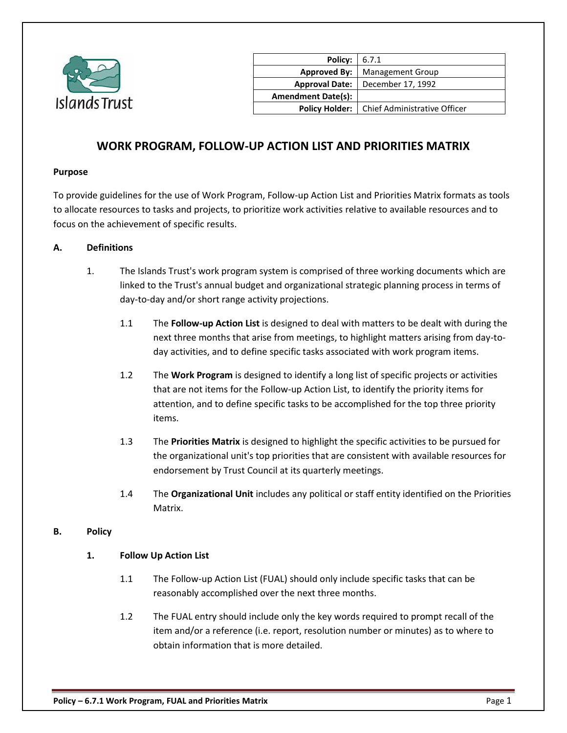

| Policy:                   | 6.7.1                        |
|---------------------------|------------------------------|
| <b>Approved By:</b>       | <b>Management Group</b>      |
| <b>Approval Date:</b>     | December 17, 1992            |
| <b>Amendment Date(s):</b> |                              |
| <b>Policy Holder:</b>     | Chief Administrative Officer |
|                           |                              |

# **WORK PROGRAM, FOLLOW-UP ACTION LIST AND PRIORITIES MATRIX**

#### **Purpose**

To provide guidelines for the use of Work Program, Follow-up Action List and Priorities Matrix formats as tools to allocate resources to tasks and projects, to prioritize work activities relative to available resources and to focus on the achievement of specific results.

#### **A. Definitions**

- 1. The Islands Trust's work program system is comprised of three working documents which are linked to the Trust's annual budget and organizational strategic planning process in terms of day-to-day and/or short range activity projections.
	- 1.1 The **Follow-up Action List** is designed to deal with matters to be dealt with during the next three months that arise from meetings, to highlight matters arising from day-today activities, and to define specific tasks associated with work program items.
	- 1.2 The **Work Program** is designed to identify a long list of specific projects or activities that are not items for the Follow-up Action List, to identify the priority items for attention, and to define specific tasks to be accomplished for the top three priority items.
	- 1.3 The **Priorities Matrix** is designed to highlight the specific activities to be pursued for the organizational unit's top priorities that are consistent with available resources for endorsement by Trust Council at its quarterly meetings.
	- 1.4 The **Organizational Unit** includes any political or staff entity identified on the Priorities Matrix.

#### **B. Policy**

#### **1. Follow Up Action List**

- 1.1 The Follow-up Action List (FUAL) should only include specific tasks that can be reasonably accomplished over the next three months.
- 1.2 The FUAL entry should include only the key words required to prompt recall of the item and/or a reference (i.e. report, resolution number or minutes) as to where to obtain information that is more detailed.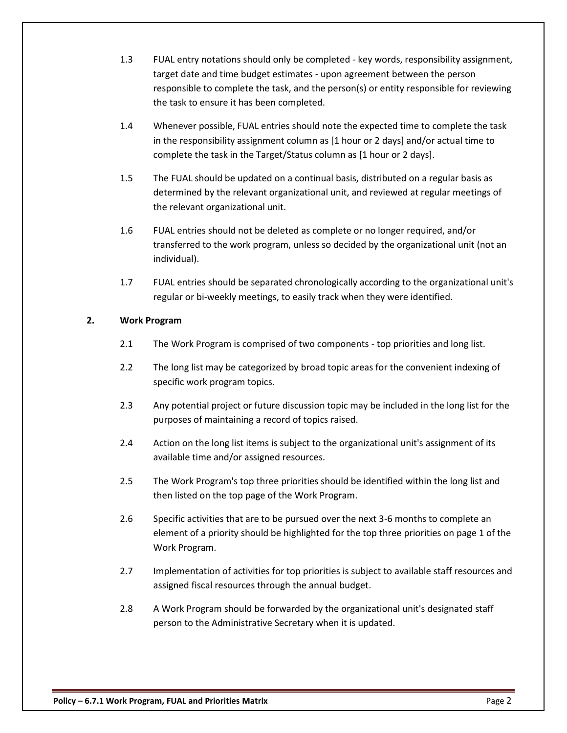- 1.3 FUAL entry notations should only be completed key words, responsibility assignment, target date and time budget estimates - upon agreement between the person responsible to complete the task, and the person(s) or entity responsible for reviewing the task to ensure it has been completed.
- 1.4 Whenever possible, FUAL entries should note the expected time to complete the task in the responsibility assignment column as [1 hour or 2 days] and/or actual time to complete the task in the Target/Status column as [1 hour or 2 days].
- 1.5 The FUAL should be updated on a continual basis, distributed on a regular basis as determined by the relevant organizational unit, and reviewed at regular meetings of the relevant organizational unit.
- 1.6 FUAL entries should not be deleted as complete or no longer required, and/or transferred to the work program, unless so decided by the organizational unit (not an individual).
- 1.7 FUAL entries should be separated chronologically according to the organizational unit's regular or bi-weekly meetings, to easily track when they were identified.

## **2. Work Program**

- 2.1 The Work Program is comprised of two components top priorities and long list.
- 2.2 The long list may be categorized by broad topic areas for the convenient indexing of specific work program topics.
- 2.3 Any potential project or future discussion topic may be included in the long list for the purposes of maintaining a record of topics raised.
- 2.4 Action on the long list items is subject to the organizational unit's assignment of its available time and/or assigned resources.
- 2.5 The Work Program's top three priorities should be identified within the long list and then listed on the top page of the Work Program.
- 2.6 Specific activities that are to be pursued over the next 3-6 months to complete an element of a priority should be highlighted for the top three priorities on page 1 of the Work Program.
- 2.7 Implementation of activities for top priorities is subject to available staff resources and assigned fiscal resources through the annual budget.
- 2.8 A Work Program should be forwarded by the organizational unit's designated staff person to the Administrative Secretary when it is updated.